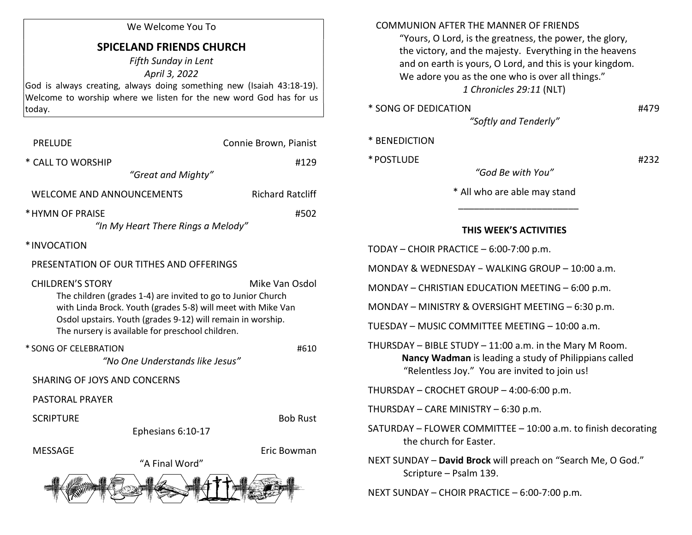### We Welcome You To

# SPICELAND FRIENDS CHURCH

Fifth Sunday in Lent April 3, 2022 God is always creating, always doing something new (Isaiah 43:18-19). Welcome to worship where we listen for the new word God has for us today.

| <b>PRELUDE</b>                                                                                                                                                                                                                                                                               | Connie Brown, Pianist   |  |  |  |
|----------------------------------------------------------------------------------------------------------------------------------------------------------------------------------------------------------------------------------------------------------------------------------------------|-------------------------|--|--|--|
| * CALL TO WORSHIP<br>"Great and Mighty"                                                                                                                                                                                                                                                      | #129                    |  |  |  |
| <b>WELCOME AND ANNOUNCEMENTS</b>                                                                                                                                                                                                                                                             | <b>Richard Ratcliff</b> |  |  |  |
| * HYMN OF PRAISE<br>#502<br>"In My Heart There Rings a Melody"                                                                                                                                                                                                                               |                         |  |  |  |
| *INVOCATION                                                                                                                                                                                                                                                                                  |                         |  |  |  |
| PRESENTATION OF OUR TITHES AND OFFERINGS                                                                                                                                                                                                                                                     |                         |  |  |  |
| <b>CHILDREN'S STORY</b><br>Mike Van Osdol<br>The children (grades 1-4) are invited to go to Junior Church<br>with Linda Brock. Youth (grades 5-8) will meet with Mike Van<br>Osdol upstairs. Youth (grades 9-12) will remain in worship.<br>The nursery is available for preschool children. |                         |  |  |  |
| * SONG OF CELEBRATION<br>"No One Understands like Jesus"                                                                                                                                                                                                                                     | #610                    |  |  |  |
| SHARING OF JOYS AND CONCERNS                                                                                                                                                                                                                                                                 |                         |  |  |  |
| <b>PASTORAL PRAYER</b>                                                                                                                                                                                                                                                                       |                         |  |  |  |
| <b>SCRIPTURE</b><br>Ephesians 6:10-17                                                                                                                                                                                                                                                        | <b>Bob Rust</b>         |  |  |  |
| <b>MESSAGE</b><br>"A Final Word"                                                                                                                                                                                                                                                             | Eric Bowman             |  |  |  |
|                                                                                                                                                                                                                                                                                              |                         |  |  |  |

## COMMUNION AFTER THE MANNER OF FRIENDS

 "Yours, O Lord, is the greatness, the power, the glory, the victory, and the majesty. Everything in the heavens and on earth is yours, O Lord, and this is your kingdom. We adore you as the one who is over all things." 1 Chronicles 29:11 (NLT)

\* SONG OF DEDICATION #479

"Softly and Tenderly"

|  | * BENEDICTION |  |  |  |
|--|---------------|--|--|--|
|--|---------------|--|--|--|

 $*$  POSTLUDE  $#232$ 

"God Be with You" \* All who are able may stand

## THIS WEEK'S ACTIVITIES

TODAY – CHOIR PRACTICE – 6:00-7:00 p.m.

 $\frac{1}{2}$  ,  $\frac{1}{2}$  ,  $\frac{1}{2}$  ,  $\frac{1}{2}$  ,  $\frac{1}{2}$  ,  $\frac{1}{2}$  ,  $\frac{1}{2}$  ,  $\frac{1}{2}$  ,  $\frac{1}{2}$  ,  $\frac{1}{2}$  ,  $\frac{1}{2}$  ,  $\frac{1}{2}$  ,  $\frac{1}{2}$  ,  $\frac{1}{2}$  ,  $\frac{1}{2}$  ,  $\frac{1}{2}$  ,  $\frac{1}{2}$  ,  $\frac{1}{2}$  ,  $\frac{1$ 

MONDAY & WEDNESDAY − WALKING GROUP – 10:00 a.m.

MONDAY – CHRISTIAN EDUCATION MEETING – 6:00 p.m.

MONDAY – MINISTRY & OVERSIGHT MEETING – 6:30 p.m.

TUESDAY – MUSIC COMMITTEE MEETING – 10:00 a.m.

THURSDAY – BIBLE STUDY – 11:00 a.m. in the Mary M Room. Nancy Wadman is leading a study of Philippians called "Relentless Joy." You are invited to join us!

THURSDAY – CROCHET GROUP – 4:00-6:00 p.m.

THURSDAY – CARE MINISTRY – 6:30 p.m.

SATURDAY – FLOWER COMMITTEE – 10:00 a.m. to finish decorating the church for Easter.

NEXT SUNDAY – David Brock will preach on "Search Me, O God." Scripture – Psalm 139.

NEXT SUNDAY – CHOIR PRACTICE – 6:00-7:00 p.m.